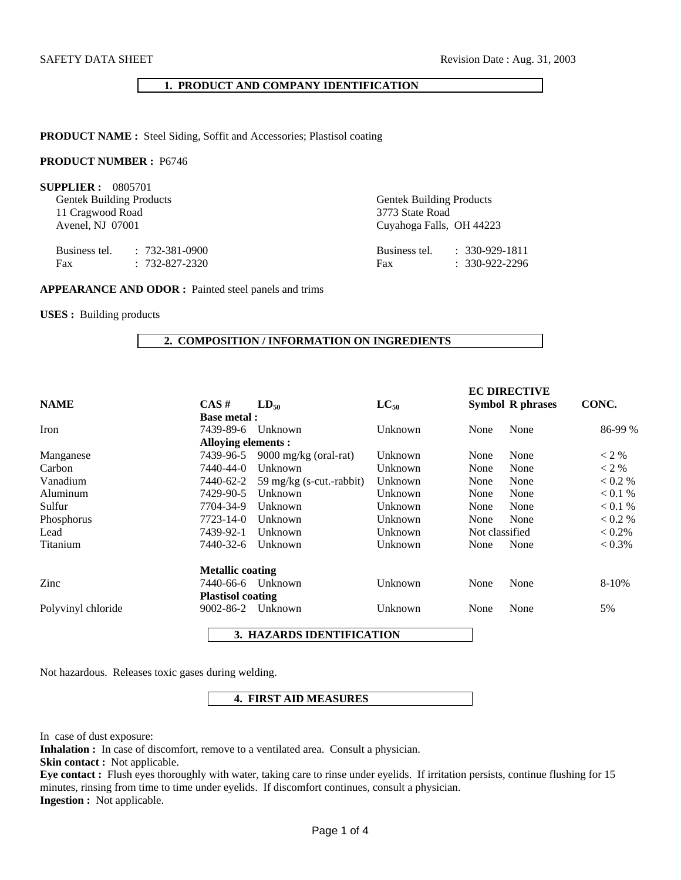### **1. PRODUCT AND COMPANY IDENTIFICATION**

**PRODUCT NAME :** Steel Siding, Soffit and Accessories; Plastisol coating

### **PRODUCT NUMBER :** P6746

**SUPPLIER :** 0805701

Gentek Building Products Gentek Building Products 11 Cragwood Road 3773 State Road

Business tel. : 732-381-0900 Fax : 732-827-2320

Avenel, NJ 07001 Cuyahoga Falls, OH 44223

| Business tel. | $: 330 - 929 - 1811$ |
|---------------|----------------------|
| Fax           | $: 330 - 922 - 2296$ |

#### **APPEARANCE AND ODOR :** Painted steel panels and trims

**USES :** Building products

#### **2. COMPOSITION / INFORMATION ON INGREDIENTS**

|                    |                          |                                 |           |                | <b>EC DIRECTIVE</b>     |           |
|--------------------|--------------------------|---------------------------------|-----------|----------------|-------------------------|-----------|
| <b>NAME</b>        | $CAS \#$                 | $LD_{50}$                       | $LC_{50}$ |                | <b>Symbol R phrases</b> | CONC.     |
|                    | <b>Base metal:</b>       |                                 |           |                |                         |           |
| Iron               | 7439-89-6                | Unknown                         | Unknown   | None           | None                    | 86-99 %   |
|                    | Alloying elements :      |                                 |           |                |                         |           |
| Manganese          | 7439-96-5                | $9000 \text{ mg/kg}$ (oral-rat) | Unknown   | None           | None                    | $<$ 2 %   |
| Carbon             | 7440-44-0                | Unknown                         | Unknown   | None           | None                    | $<$ 2 %   |
| Vanadium           | 7440-62-2                | 59 mg/kg (s-cut.-rabbit)        | Unknown   | None           | None                    | < 0.2 %   |
| Aluminum           | 7429-90-5                | Unknown                         | Unknown   | None           | None                    | < 0.1 %   |
| Sulfur             | 7704-34-9                | Unknown                         | Unknown   | None           | None                    | < 0.1 %   |
| Phosphorus         | 7723-14-0                | Unknown                         | Unknown   | None           | None                    | < 0.2 %   |
| Lead               | 7439-92-1                | Unknown                         | Unknown   | Not classified |                         | $< 0.2\%$ |
| Titanium           | 7440-32-6                | Unknown                         | Unknown   | None           | None                    | $< 0.3\%$ |
|                    | <b>Metallic coating</b>  |                                 |           |                |                         |           |
| Zinc               | 7440-66-6                | Unknown                         | Unknown   | None           | None                    | 8-10%     |
|                    | <b>Plastisol coating</b> |                                 |           |                |                         |           |
| Polyvinyl chloride | 9002-86-2                | Unknown                         | Unknown   | None           | None                    | 5%        |
|                    |                          |                                 |           |                |                         |           |

 **3. HAZARDS IDENTIFICATION** 

Not hazardous. Releases toxic gases during welding.

### **4. FIRST AID MEASURES**

In case of dust exposure:

**Inhalation :** In case of discomfort, remove to a ventilated area. Consult a physician.

**Skin contact :** Not applicable.

**Eye contact :** Flush eyes thoroughly with water, taking care to rinse under eyelids. If irritation persists, continue flushing for 15 minutes, rinsing from time to time under eyelids. If discomfort continues, consult a physician. **Ingestion :** Not applicable.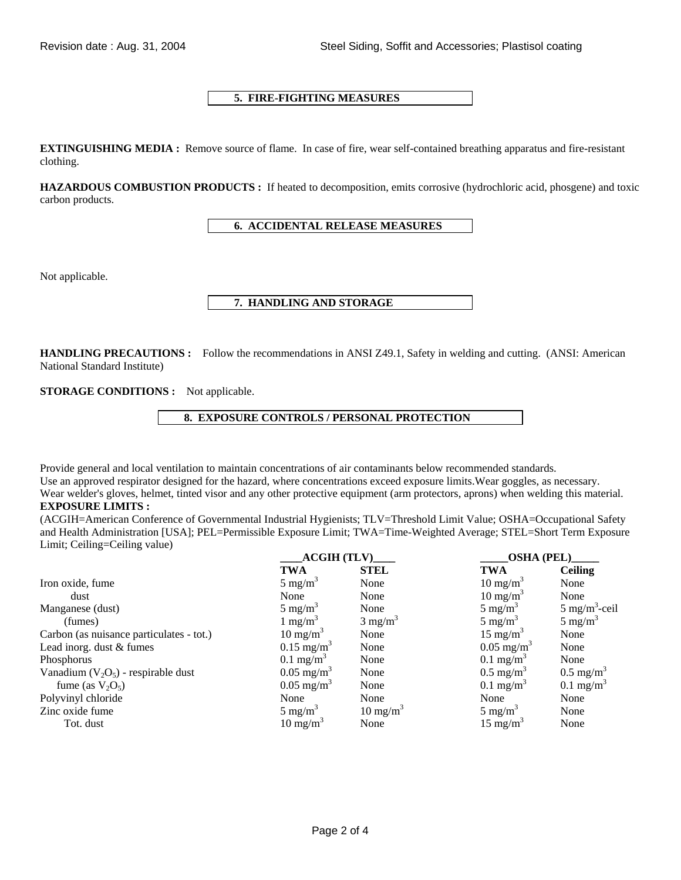# **5. FIRE-FIGHTING MEASURES**

**EXTINGUISHING MEDIA :** Remove source of flame. In case of fire, wear self-contained breathing apparatus and fire-resistant clothing.

**HAZARDOUS COMBUSTION PRODUCTS :** If heated to decomposition, emits corrosive (hydrochloric acid, phosgene) and toxic carbon products.

# **6. ACCIDENTAL RELEASE MEASURES**

Not applicable.

# **7. HANDLING AND STORAGE**

**HANDLING PRECAUTIONS :** Follow the recommendations in ANSI Z49.1, Safety in welding and cutting. (ANSI: American National Standard Institute)

**STORAGE CONDITIONS :** Not applicable.

 **8. EXPOSURE CONTROLS / PERSONAL PROTECTION** 

Provide general and local ventilation to maintain concentrations of air contaminants below recommended standards.

Use an approved respirator designed for the hazard, where concentrations exceed exposure limits.Wear goggles, as necessary. Wear welder's gloves, helmet, tinted visor and any other protective equipment (arm protectors, aprons) when welding this material.

# **EXPOSURE LIMITS :**

(ACGIH=American Conference of Governmental Industrial Hygienists; TLV=Threshold Limit Value; OSHA=Occupational Safety and Health Administration [USA]; PEL=Permissible Exposure Limit; TWA=Time-Weighted Average; STEL=Short Term Exposure Limit; Ceiling=Ceiling value)

|                                          | <b>ACGIH (TLV)</b>      |                     | <b>OSHA (PEL)</b>       |                          |  |
|------------------------------------------|-------------------------|---------------------|-------------------------|--------------------------|--|
|                                          | <b>TWA</b>              | <b>STEL</b>         | <b>TWA</b>              | <b>Ceiling</b>           |  |
| Iron oxide, fume                         | $5 \text{ mg/m}^3$      | None                | $10 \text{ mg/m}^3$     | None                     |  |
| dust                                     | None                    | None                | $10 \text{ mg/m}^3$     | None                     |  |
| Manganese (dust)                         | $5 \text{ mg/m}^3$      | None                | $5 \text{ mg/m}^3$      | $5 \text{ mg/m}^3$ -ceil |  |
| (fumes)                                  | 1 mg/m <sup>3</sup>     | $3 \text{ mg/m}^3$  | $5 \text{ mg/m}^3$      | $5 \text{ mg/m}^3$       |  |
| Carbon (as nuisance particulates - tot.) | $10 \text{ mg/m}^3$     | None                | $15 \text{ mg/m}^3$     | None                     |  |
| Lead inorg. dust & fumes                 | $0.15 \text{ mg/m}^3$   | None                | $0.05 \text{ mg/m}^3$   | None                     |  |
| Phosphorus                               | $0.1$ mg/m <sup>3</sup> | None                | $0.1$ mg/m <sup>3</sup> | None                     |  |
| Vanadium $(V_2O_5)$ - respirable dust    | $0.05 \text{ mg/m}^3$   | None                | $0.5 \text{ mg/m}^3$    | $0.5 \text{ mg/m}^3$     |  |
| fume (as $V_2O_5$ )                      | $0.05 \text{ mg/m}^3$   | None                | $0.1$ mg/m <sup>3</sup> | $0.1 \text{ mg/m}^3$     |  |
| Polyvinyl chloride                       | None                    | None                | None                    | None                     |  |
| Zinc oxide fume                          | 5 mg/m <sup>3</sup>     | $10 \text{ mg/m}^3$ | $5 \text{ mg/m}^3$      | None                     |  |
| Tot. dust                                | $10 \text{ mg/m}^3$     | None                | 15 mg/m <sup>3</sup>    | None                     |  |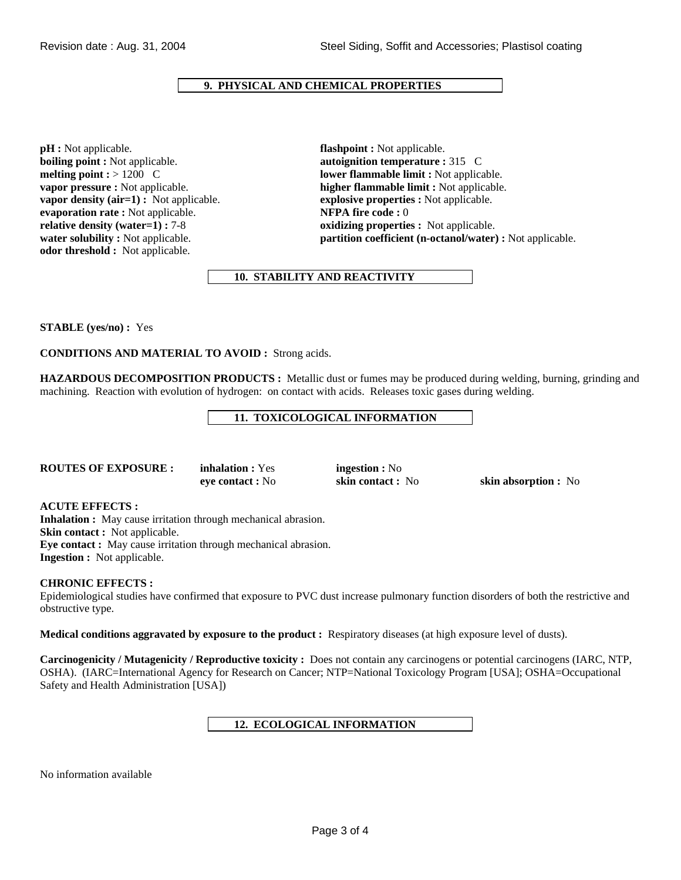# **9. PHYSICAL AND CHEMICAL PROPERTIES**

**pH :** Not applicable. **flashpoint :** Not applicable. **boiling point :** Not applicable. **autoignition temperature :** 315 C **vapor density (air=1) :** Not applicable. **explosive properties :** Not applicable. **evaporation rate :** Not applicable. **NFPA fire code :** 0 **relative density (water=1) : 7-8 <b>oxidizing properties :** Not applicable. **odor threshold :** Not applicable.

**melting point : > 1200 C lower flammable limit :** Not applicable. **vapor pressure :** Not applicable. **higher flammable limit :** Not applicable. **water solubility :** Not applicable. **partition coefficient (n-octanol/water) :** Not applicable.

# **10. STABILITY AND REACTIVITY**

**STABLE (yes/no) :** Yes

**CONDITIONS AND MATERIAL TO AVOID :** Strong acids.

**HAZARDOUS DECOMPOSITION PRODUCTS :** Metallic dust or fumes may be produced during welding, burning, grinding and machining. Reaction with evolution of hydrogen: on contact with acids. Releases toxic gases during welding.

# **11. TOXICOLOGICAL INFORMATION**

| <b>ROUTES OF EXPOSURE:</b> |  |
|----------------------------|--|
|----------------------------|--|

**inhalation :** Yes **ingestion :** No

**eye contact :** No **skin contact :** No **skin absorption :** No

### **ACUTE EFFECTS :**

**Inhalation :** May cause irritation through mechanical abrasion. **Skin contact :** Not applicable. **Eye contact :** May cause irritation through mechanical abrasion. **Ingestion :** Not applicable.

### **CHRONIC EFFECTS :**

Epidemiological studies have confirmed that exposure to PVC dust increase pulmonary function disorders of both the restrictive and obstructive type.

**Medical conditions aggravated by exposure to the product :** Respiratory diseases (at high exposure level of dusts).

**Carcinogenicity / Mutagenicity / Reproductive toxicity :** Does not contain any carcinogens or potential carcinogens (IARC, NTP, OSHA). (IARC=International Agency for Research on Cancer; NTP=National Toxicology Program [USA]; OSHA=Occupational Safety and Health Administration [USA])

# **12. ECOLOGICAL INFORMATION**

No information available